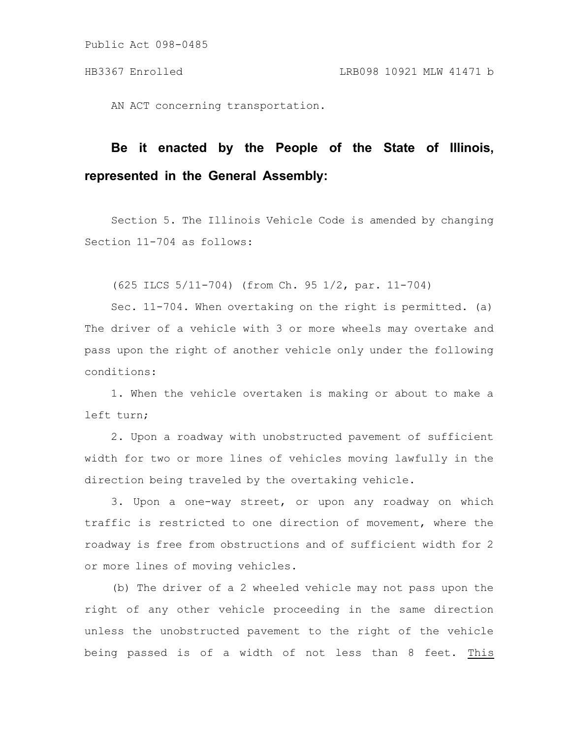Public Act 098-0485

AN ACT concerning transportation.

## **Be it enacted by the People of the State of Illinois, represented in the General Assembly:**

Section 5. The Illinois Vehicle Code is amended by changing Section 11-704 as follows:

(625 ILCS 5/11-704) (from Ch. 95 1/2, par. 11-704)

Sec. 11-704. When overtaking on the right is permitted. (a) The driver of a vehicle with 3 or more wheels may overtake and pass upon the right of another vehicle only under the following conditions:

1. When the vehicle overtaken is making or about to make a left turn;

2. Upon a roadway with unobstructed pavement of sufficient width for two or more lines of vehicles moving lawfully in the direction being traveled by the overtaking vehicle.

3. Upon a one-way street, or upon any roadway on which traffic is restricted to one direction of movement, where the roadway is free from obstructions and of sufficient width for 2 or more lines of moving vehicles.

(b) The driver of a 2 wheeled vehicle may not pass upon the right of any other vehicle proceeding in the same direction unless the unobstructed pavement to the right of the vehicle being passed is of a width of not less than 8 feet. This